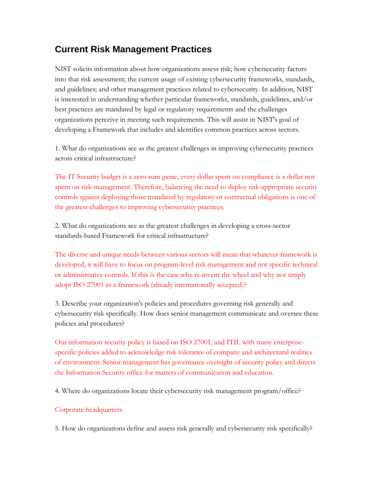# **Current Risk Management Practices**

NIST solicits information about how organizations assess risk; how cybersecurity factors into that risk assessment; the current usage of existing cybersecurity frameworks, standards, and guidelines; and other management practices related to cybersecurity. In addition, NIST is interested in understanding whether particular frameworks, standards, guidelines, and/or best practices are mandated by legal or regulatory requirements and the challenges organizations perceive in meeting such requirements. This will assist in NIST's goal of developing a Framework that includes and identifies common practices across sectors.

1. What do organizations see as the greatest challenges in improving cybersecurity practices across critical infrastructure?

The IT Security budget is a zero-sum game, every dollar spent on compliance is a dollar not spent on risk-management. Therefore, balancing the need to deploy risk-appropriate security controls against deploying those mandated by regulatory or contractual obligations is one of the greatest challenges to improving cybersecurity practices.

2. What do organizations see as the greatest challenges in developing a cross-sector standards-based Framework for critical infrastructure?

The diverse and unique needs between various sectors will mean that whatever framework is developed, it will have to focus on program-level risk management and not specific technical or administrative controls. If this is the case why re-invent the wheel and why not simply adopt ISO 27001 as a framework (already internationally accepted)?

3. Describe your organization's policies and procedures governing risk generally and cybersecurity risk specifically. How does senior management communicate and oversee these policies and procedures?

Our information security policy is based on ISO 27001, and ITIL with many enterprisespecific policies added to acknowledge risk tolerance of company and architectural realities of environment. Senior management has governance oversight of security policy and directs the Information Security office for matters of communication and education.

4. Where do organizations locate their cybersecurity risk management program/office?

## Corporate headquarters

5. How do organizations define and assess risk generally and cybersecurity risk specifically?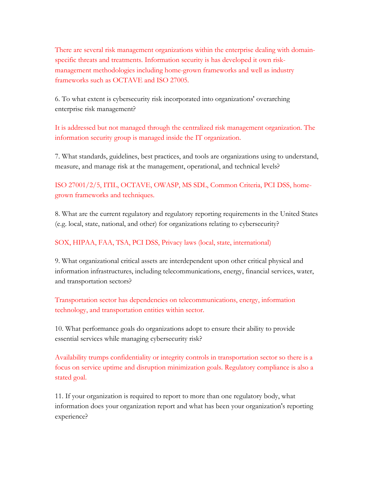There are several risk management organizations within the enterprise dealing with domainspecific threats and treatments. Information security is has developed it own riskmanagement methodologies including home-grown frameworks and well as industry frameworks such as OCTAVE and ISO 27005.

6. To what extent is cybersecurity risk incorporated into organizations' overarching enterprise risk management?

It is addressed but not managed through the centralized risk management organization. The information security group is managed inside the IT organization.

7. What standards, guidelines, best practices, and tools are organizations using to understand, measure, and manage risk at the management, operational, and technical levels?

ISO 27001/2/5, ITIL, OCTAVE, OWASP, MS SDL, Common Criteria, PCI DSS, homegrown frameworks and techniques.

8. What are the current regulatory and regulatory reporting requirements in the United States (e.g. local, state, national, and other) for organizations relating to cybersecurity?

### SOX, HIPAA, FAA, TSA, PCI DSS, Privacy laws (local, state, international)

9. What organizational critical assets are interdependent upon other critical physical and information infrastructures, including telecommunications, energy, financial services, water, and transportation sectors?

Transportation sector has dependencies on telecommunications, energy, information technology, and transportation entities within sector.

10. What performance goals do organizations adopt to ensure their ability to provide essential services while managing cybersecurity risk?

Availability trumps confidentiality or integrity controls in transportation sector so there is a focus on service uptime and disruption minimization goals. Regulatory compliance is also a stated goal.

11. If your organization is required to report to more than one regulatory body, what information does your organization report and what has been your organization's reporting experience?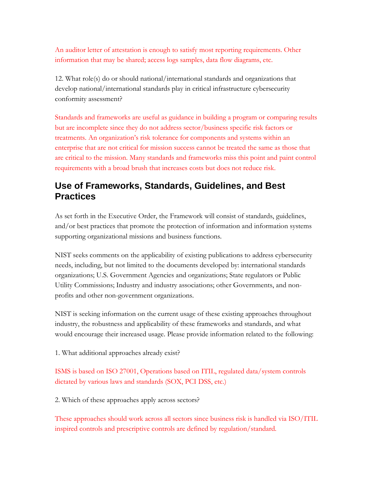An auditor letter of attestation is enough to satisfy most reporting requirements. Other information that may be shared; access logs samples, data flow diagrams, etc.

12. What role(s) do or should national/international standards and organizations that develop national/international standards play in critical infrastructure cybersecurity conformity assessment?

Standards and frameworks are useful as guidance in building a program or comparing results but are incomplete since they do not address sector/business specific risk factors or treatments. An organization's risk tolerance for components and systems within an enterprise that are not critical for mission success cannot be treated the same as those that are critical to the mission. Many standards and frameworks miss this point and paint control requirements with a broad brush that increases costs but does not reduce risk.

## **Use of Frameworks, Standards, Guidelines, and Best Practices**

As set forth in the Executive Order, the Framework will consist of standards, guidelines, and/or best practices that promote the protection of information and information systems supporting organizational missions and business functions.

NIST seeks comments on the applicability of existing publications to address cybersecurity needs, including, but not limited to the documents developed by: international standards organizations; U.S. Government Agencies and organizations; State regulators or Public Utility Commissions; Industry and industry associations; other Governments, and nonprofits and other non-government organizations.

NIST is seeking information on the current usage of these existing approaches throughout industry, the robustness and applicability of these frameworks and standards, and what would encourage their increased usage. Please provide information related to the following:

1. What additional approaches already exist?

ISMS is based on ISO 27001, Operations based on ITIL, regulated data/system controls dictated by various laws and standards (SOX, PCI DSS, etc.)

2. Which of these approaches apply across sectors?

These approaches should work across all sectors since business risk is handled via ISO/ITIL inspired controls and prescriptive controls are defined by regulation/standard.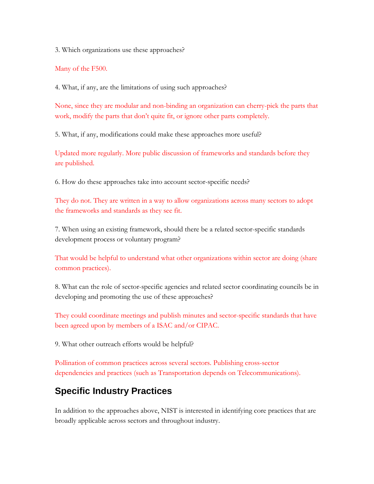3. Which organizations use these approaches?

Many of the F500.

4. What, if any, are the limitations of using such approaches?

None, since they are modular and non-binding an organization can cherry-pick the parts that work, modify the parts that don't quite fit, or ignore other parts completely.

5. What, if any, modifications could make these approaches more useful?

Updated more regularly. More public discussion of frameworks and standards before they are published.

6. How do these approaches take into account sector-specific needs?

They do not. They are written in a way to allow organizations across many sectors to adopt the frameworks and standards as they see fit.

7. When using an existing framework, should there be a related sector-specific standards development process or voluntary program?

That would be helpful to understand what other organizations within sector are doing (share common practices).

8. What can the role of sector-specific agencies and related sector coordinating councils be in developing and promoting the use of these approaches?

They could coordinate meetings and publish minutes and sector-specific standards that have been agreed upon by members of a ISAC and/or CIPAC.

9. What other outreach efforts would be helpful?

Pollination of common practices across several sectors. Publishing cross-sector dependencies and practices (such as Transportation depends on Telecommunications).

# **Specific Industry Practices**

In addition to the approaches above, NIST is interested in identifying core practices that are broadly applicable across sectors and throughout industry.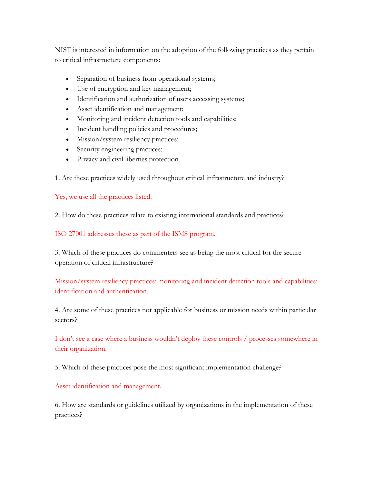NIST is interested in information on the adoption of the following practices as they pertain to critical infrastructure components:

- Separation of business from operational systems;
- Use of encryption and key management;
- Identification and authorization of users accessing systems;
- Asset identification and management;
- Monitoring and incident detection tools and capabilities;
- Incident handling policies and procedures;
- Mission/system resiliency practices;
- Security engineering practices;
- Privacy and civil liberties protection.

1. Are these practices widely used throughout critical infrastructure and industry?

Yes, we use all the practices listed.

2. How do these practices relate to existing international standards and practices?

ISO 27001 addresses these as part of the ISMS program.

3. Which of these practices do commenters see as being the most critical for the secure operation of critical infrastructure?

Mission/system resiliency practices; monitoring and incident detection tools and capabilities; identification and authentication.

4. Are some of these practices not applicable for business or mission needs within particular sectors?

I don't see a case where a business wouldn't deploy these controls / processes somewhere in their organization.

5. Which of these practices pose the most significant implementation challenge?

Asset identification and management.

6. How are standards or guidelines utilized by organizations in the implementation of these practices?